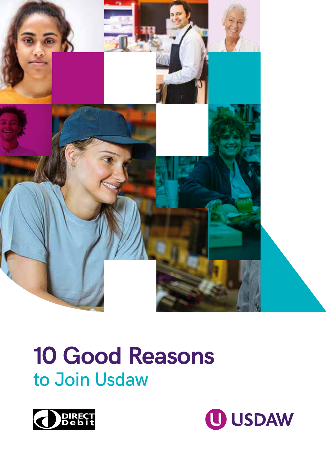

# **10 Good Reasons** to Join Usdaw



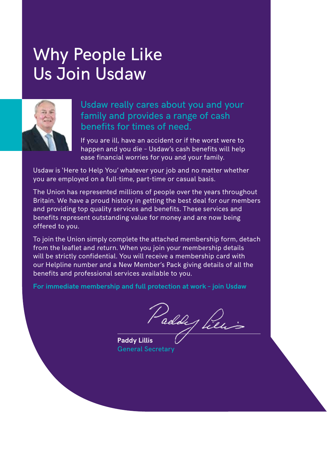### Why People Like Us Join Usdaw



### Usdaw really cares about you and your family and provides a range of cash benefits for times of need.

If you are ill, have an accident or if the worst were to happen and you die – Usdaw's cash benefits will help ease financial worries for you and your family.

Usdaw is 'Here to Help You' whatever your job and no matter whether you are employed on a full-time, part-time or casual basis.

The Union has represented millions of people over the years throughout Britain. We have a proud history in getting the best deal for our members and providing top quality services and benefits. These services and benefits represent outstanding value for money and are now being offered to you.

To join the Union simply complete the attached membership form, detach from the leaflet and return. When you join your membership details will be strictly confidential. You will receive a membership card with our Helpline number and a New Member's Pack giving details of all the benefits and professional services available to you.

**For immediate membership and full protection at work – join Usdaw**

Paddy Pieu

**Paddy Lillis** General Secretary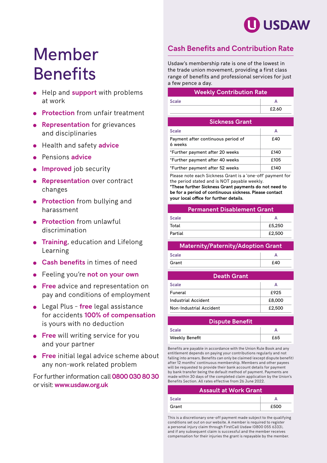

### Member **Benefits**

- **•** Help and **support** with problems at work
- **Protection** from unfair treatment
- **Representation** for grievances and disciplinaries
- Health and safety **advice**
- Pensions **advice**
- **Improved** job security
- **e** Representation over contract changes
- **Protection** from bullying and harassment
- **Protection** from unlawful discrimination
- **Training**, education and Lifelong Learning
- **Cash benefits** in times of need
- Feeling you're **not on your own**
- **Free** advice and representation on pay and conditions of employment
- Legal Plus **free** legal assistance for accidents **100% of compensation** is yours with no deduction
- **Free** will writing service for you and your partner
- **Free** initial legal advice scheme about any non-work related problem

For further information call **0800 030 80 30** or visit: **www.usdaw.org.uk**

#### **Cash Benefits and Contribution Rate**

Usdaw's membership rate is one of the lowest in the trade union movement, providing a first class range of benefits and professional services for just a few pence a day.

| <b>Weekly Contribution Rate</b>                            |       |
|------------------------------------------------------------|-------|
| Scale                                                      | A     |
|                                                            | £2.60 |
| <b>Sickness Grant</b>                                      |       |
| Scale                                                      | А     |
| Payment after continuous period of<br>6 weeks              | £40   |
| *Further payment after 20 weeks                            | £140  |
| *Further payment after 40 weeks                            | £105  |
| *Further payment after 52 weeks                            | £140  |
| Plasse note each Sickness Grant is a 'one-off' nayment for |       |

e note each Sickness Grant is a 'one-off' payment f the period stated and is NOT payable weekly. **\*These further Sickness Grant payments do not need to be for a period of continuous sickness. Please contact your local office for further details.**

#### **Permanent Disablement Grant**

| <b>Scale</b> |        |
|--------------|--------|
| Total        | £5,250 |
| Partial      | £2,500 |

#### **Maternity/Paternity/Adoption Grant**

| <b>Scale</b> |     |
|--------------|-----|
| Grant        | fAD |

#### **Death Grant**

| Scale                   |        |
|-------------------------|--------|
| Funeral                 | £925   |
| Industrial Accident     | £8,000 |
| Non-Industrial Accident | £2,500 |

| <b>Dispute Benefit</b> |     |
|------------------------|-----|
| Scale                  |     |
| <b>Weekly Benefit</b>  | £65 |

Benefits are payable in accordance with the Union Rule Book and any entitlement depends on paying your contributions regularly and not falling into arrears. Benefits can only be claimed (except dispute benefit) after 12 months' continuous membership. Members and other payees will be requested to provide their bank account details for payment by bank transfer being the default method of payment. Payments are made within 30 days of the completed claim application by the Union's Benefits Section. All rates effective from 26 June 2022.

|       | <b>Assault at Work Grant</b> |
|-------|------------------------------|
| Scale |                              |
| Grant | £500                         |

This is a discretionary one-off payment made subject to the qualifying conditions set out on our website. A member is required to register a personal injury claim through FirstCall Usdaw (0800 055 6333), and if any subsequent claim is successful and the member receives compensation for their injuries the grant is repayable by the member.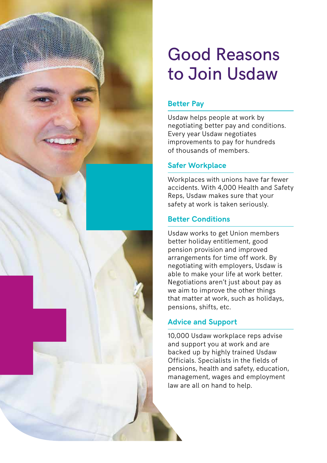

## Good Reasons to Join Usdaw

#### **Better Pay**

Usdaw helps people at work by negotiating better pay and conditions. Every year Usdaw negotiates improvements to pay for hundreds of thousands of members.

#### **Safer Workplace**

Workplaces with unions have far fewer accidents. With 4,000 Health and Safety Reps, Usdaw makes sure that your safety at work is taken seriously.

#### **Better Conditions**

Usdaw works to get Union members better holiday entitlement, good pension provision and improved arrangements for time off work. By negotiating with employers, Usdaw is able to make your life at work better. Negotiations aren't just about pay as we aim to improve the other things that matter at work, such as holidays, pensions, shifts, etc.

#### **Advice and Support**

10,000 Usdaw workplace reps advise and support you at work and are backed up by highly trained Usdaw Officials. Specialists in the fields of pensions, health and safety, education, management, wages and employment law are all on hand to help.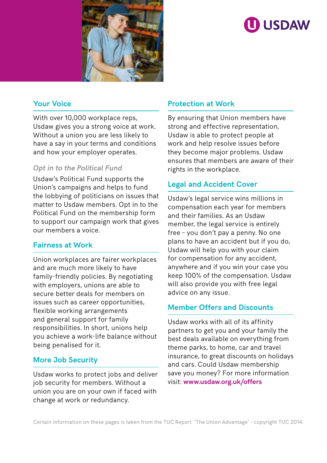

### **ID USDAW**

#### **Your Voice**

With over 10,000 workplace reps, Usdaw gives you a strong voice at work. Without a union you are less likely to have a say in your terms and conditions and how your employer operates.

#### *Opt in to the Political Fund*

Usdaw's Political Fund supports the Union's campaigns and helps to fund the lobbying of politicians on issues that matter to Usdaw members. Opt in to the Political Fund on the membership form to support our campaign work that gives our members a voice.

#### **Fairness at Work**

Union workplaces are fairer workplaces and are much more likely to have family-friendly policies. By negotiating with employers, unions are able to secure better deals for members on issues such as career opportunities, flexible working arrangements and general support for family responsibilities. In short, unions help you achieve a work-life balance without being penalised for it.

#### **More Job Security**

Usdaw works to protect jobs and deliver job security for members. Without a union you are on your own if faced with change at work or redundancy.

#### **Protection at Work**

By ensuring that Union members have strong and effective representation, Usdaw is able to protect people at work and help resolve issues before they become major problems. Usdaw ensures that members are aware of their rights in the workplace.

#### **Legal and Accident Cover**

Usdaw's legal service wins millions in compensation each year for members and their families. As an Usdaw member, the legal service is entirely free – you don't pay a penny. No one plans to have an accident but if you do, Usdaw will help you with your claim for compensation for any accident, anywhere and if you win your case you keep 100% of the compensation. Usdaw will also provide you with free legal advice on any issue.

#### **Member Offers and Discounts**

Usdaw works with all of its affinity partners to get you and your family the best deals available on everything from theme parks, to home, car and travel insurance, to great discounts on holidays and cars. Could Usdaw membership save you money? For more information visit: **www.usdaw.org.uk/offers**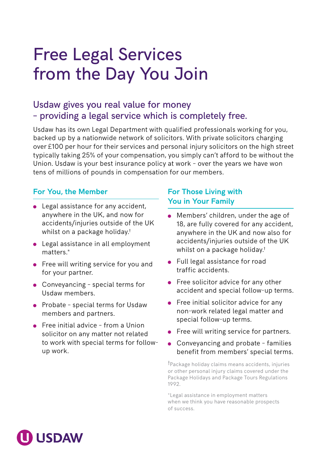### Free Legal Services from the Day You Join

### Usdaw gives you real value for money – providing a legal service which is completely free.

Usdaw has its own Legal Department with qualified professionals working for you, backed up by a nationwide network of solicitors. With private solicitors charging over £100 per hour for their services and personal injury solicitors on the high street typically taking 25% of your compensation, you simply can't afford to be without the Union. Usdaw is your best insurance policy at work – over the years we have won tens of millions of pounds in compensation for our members.

#### **For You, the Member**

- Legal assistance for any accident, anywhere in the UK, and now for accidents/injuries outside of the UK whilst on a package holiday.†
- Legal assistance in all employment matters.\*
- Free will writing service for you and for your partner.
- Conveyancing special terms for Usdaw members.
- Probate special terms for Usdaw members and partners.
- Free initial advice from a Union solicitor on any matter not related to work with special terms for followup work.

#### **For Those Living with You in Your Family**

- **Members' children, under the age of** 18, are fully covered for any accident, anywhere in the UK and now also for accidents/injuries outside of the UK whilst on a package holiday.†
- **•** Full legal assistance for road traffic accidents.
- **•** Free solicitor advice for any other accident and special follow-up terms.
- **•** Free initial solicitor advice for any non-work related legal matter and special follow-up terms.
- **•** Free will writing service for partners.
- Conveyancing and probate families benefit from members' special terms.

†Package holiday claims means accidents, injuries or other personal injury claims covered under the Package Holidays and Package Tours Regulations 1992.

\*Legal assistance in employment matters when we think you have reasonable prospects of success.

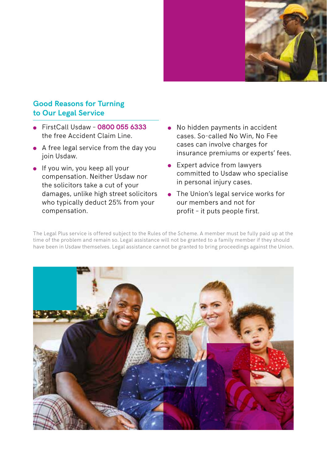

#### **Good Reasons for Turning to Our Legal Service**

- FirstCall Usdaw **0800 055 6333** the free Accident Claim Line.
- A free legal service from the day you join Usdaw.
- $\bullet$  If you win, you keep all your compensation. Neither Usdaw nor the solicitors take a cut of your damages, unlike high street solicitors who typically deduct 25% from your compensation.
- No hidden payments in accident cases. So-called No Win, No Fee cases can involve charges for insurance premiums or experts' fees.
- **Expert advice from lawyers** committed to Usdaw who specialise in personal injury cases.
- The Union's legal service works for our members and not for profit – it puts people first.

The Legal Plus service is offered subject to the Rules of the Scheme. A member must be fully paid up at the time of the problem and remain so. Legal assistance will not be granted to a family member if they should have been in Usdaw themselves. Legal assistance cannot be granted to bring proceedings against the Union.

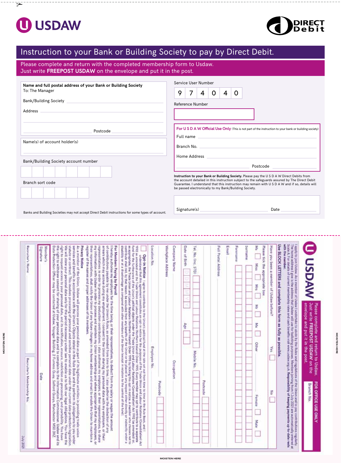

 $\overline{\mathbf{z}}$ 

**MOISTEN HERE**

**MOISTEN HERE** 



**MOISTEN MOISTEN HERE** 

### Instruction to your Bank or Building Society to pay by Direct Debit.

Please complete and return with the completed membership form to Usdaw. Just write **FREEPOST USDAW** on the envelope and put it in the post.

| Name and full postal address of your Bank or Building Society                                                                                                                                                                  | Service User Number                                                                                                                                                                                                                                                                                                                |
|--------------------------------------------------------------------------------------------------------------------------------------------------------------------------------------------------------------------------------|------------------------------------------------------------------------------------------------------------------------------------------------------------------------------------------------------------------------------------------------------------------------------------------------------------------------------------|
| To: The Manager                                                                                                                                                                                                                | $\overline{7}$<br>9<br>$\Omega$<br>$\Omega$<br>4<br>$\overline{4}$                                                                                                                                                                                                                                                                 |
|                                                                                                                                                                                                                                | <b>Reference Number</b>                                                                                                                                                                                                                                                                                                            |
| Address and the contract of the contract of the contract of the contract of the contract of the contract of the contract of the contract of the contract of the contract of the contract of the contract of the contract of th |                                                                                                                                                                                                                                                                                                                                    |
| Postcode                                                                                                                                                                                                                       | For U S D A W Official Use Only (This is not part of the instruction to your bank or building society)                                                                                                                                                                                                                             |
| Name(s) of account holder(s)                                                                                                                                                                                                   | Branch No. 2008 - Experience and Security Annual Security Assembly and Security Assembly Assembly<br>Home Address and the contract of the contract of the contract of the contract of the contract of the contract of the contract of the contract of the contract of the contract of the contract of the contract of the contract |
| Bank/Building Society account number                                                                                                                                                                                           | Instruction to your Bank or Building Society. Please pay the U S D A W Direct Debits from                                                                                                                                                                                                                                          |
| Branch sort code                                                                                                                                                                                                               | the account detailed in this instruction subject to the safeguards assured by The Direct Debit<br>Guarantee. I understand that this instruction may remain with U S D A W and if so, details will<br>be passed electronically to my Bank/Building Society.                                                                         |
| Banks and Building Societies may not accept Direct Debit instructions for some types of account.                                                                                                                               | Date                                                                                                                                                                                                                                                                                                                               |
|                                                                                                                                                                                                                                |                                                                                                                                                                                                                                                                                                                                    |

| <b>MAGSU C</b>                                                                                           | envelope and put it in the post.<br>Please complete and return to Usdaw.<br>Just write FREEPOST USDAW on the                                                                                                                                                                                                                                                                                                                                                                                                                                                                                                                                                                                                                                                                                                                                                                                                                                        | FOR OFFICE USE ONLY<br><b>Branch No.</b>       |
|----------------------------------------------------------------------------------------------------------|-----------------------------------------------------------------------------------------------------------------------------------------------------------------------------------------------------------------------------------------------------------------------------------------------------------------------------------------------------------------------------------------------------------------------------------------------------------------------------------------------------------------------------------------------------------------------------------------------------------------------------------------------------------------------------------------------------------------------------------------------------------------------------------------------------------------------------------------------------------------------------------------------------------------------------------------------------|------------------------------------------------|
| with the member.                                                                                         | i spply to join Usdaw. As a member of Usdaw Lundertake to abide by the Rules and regulations of the Union and to pay contributions regularly.<br>The home address I give is the address that Usdaw will use for balloding purpose                                                                                                                                                                                                                                                                                                                                                                                                                                                                                                                                                                                                                                                                                                                   |                                                |
| Use BLOCK LETTERS and complete this form as fully as possible<br>Have you been a member of Usdaw before? | žes.                                                                                                                                                                                                                                                                                                                                                                                                                                                                                                                                                                                                                                                                                                                                                                                                                                                                                                                                                | 중                                              |
| š<br>Please tick the appropriate box<br>Miss.<br>š                                                       | ş<br>χğ<br>Other                                                                                                                                                                                                                                                                                                                                                                                                                                                                                                                                                                                                                                                                                                                                                                                                                                                                                                                                    | Fernale<br>Mate                                |
| Forename<br>Surriame                                                                                     |                                                                                                                                                                                                                                                                                                                                                                                                                                                                                                                                                                                                                                                                                                                                                                                                                                                                                                                                                     |                                                |
| Email                                                                                                    |                                                                                                                                                                                                                                                                                                                                                                                                                                                                                                                                                                                                                                                                                                                                                                                                                                                                                                                                                     |                                                |
| Full Postal Address                                                                                      |                                                                                                                                                                                                                                                                                                                                                                                                                                                                                                                                                                                                                                                                                                                                                                                                                                                                                                                                                     |                                                |
|                                                                                                          |                                                                                                                                                                                                                                                                                                                                                                                                                                                                                                                                                                                                                                                                                                                                                                                                                                                                                                                                                     | Postcode                                       |
| Tel. No. Tinc. STD)                                                                                      | Mobile No.                                                                                                                                                                                                                                                                                                                                                                                                                                                                                                                                                                                                                                                                                                                                                                                                                                                                                                                                          |                                                |
| Date of Birth                                                                                            | なの                                                                                                                                                                                                                                                                                                                                                                                                                                                                                                                                                                                                                                                                                                                                                                                                                                                                                                                                                  |                                                |
| Company Name                                                                                             | Occupation                                                                                                                                                                                                                                                                                                                                                                                                                                                                                                                                                                                                                                                                                                                                                                                                                                                                                                                                          |                                                |
| Workplace Address                                                                                        |                                                                                                                                                                                                                                                                                                                                                                                                                                                                                                                                                                                                                                                                                                                                                                                                                                                                                                                                                     |                                                |
| Location No                                                                                              | Employee No.                                                                                                                                                                                                                                                                                                                                                                                                                                                                                                                                                                                                                                                                                                                                                                                                                                                                                                                                        | Postcode                                       |
|                                                                                                          | contribute shall not, by that reason, be excluded from any benefits of the Union or be placed in any respect either directly or indirectly under a<br>disability or at a disadvantage as compared with other members of the Union<br>as appropriate. the Trade Union and Labour Relations (Northern Ireland) Order 1995 by this 4pt 1995 by this opt-in notice. A member who chooses not to<br>fund for the furtherance of the Union's political objects under the Trade Union and Labour Relations (Consolidation) Act 1992 (as arenoted) or,<br>Opt÷in Notice II agree to contribute to the Union's political fund at the rate set out from time to time in the Ruck and I. Optical Access of the Constitution of the Constitution of the Constitution of the Constitution of                                                                                                                                                                     |                                                |
| register of the names and proper addresses of its members<br>For Members Paying by Payroll               | their representatives, shall notify the Union of any future changes in my home address and email to enable the Union to maintain a<br>my information with Usdaw in order to process and maintain my Union membership and where appropriate that my employers, or<br>representatives in order to process my deduction contributions. I also authorise my employers, or their representatives, to share<br>arrears which may accrue during my employment. I consent to the Union sharing my personal data with my employers, or their<br>of contributions payable by me under the Union's Rules, as amended from time to time, I also authorise the deduction of any<br>l hereby authorise my employers for the time being, or their representatives, to deduct from my salary or wages the amount                                                                                                                                                    |                                                |
| Privacy Notice                                                                                           | right to request access to your personal data, and its rectification, erasure, restriction on processing, and portability. You have<br>Data Protection Officer may be contacted at Usdaw, Voyager Building, 2 Furness Quay, Salford Quays, Manchester M50 3XZ<br>the right to withdraw consent for sharing of your personal data and to complain to the Information Commissioner. Usdaw and its<br>We will store your personal data only for the period necessary under law to enable us to fulfil our lagal obligations. You have the<br>statute or contract. This involves processing of personal and sensitive personal data under the current data protection legislation<br>services and benefits in accordance with the Union's Objects stated in the Rule Book and to perform its obligations to you under<br>As a member of the Union, Disdaw will process your personal data as part of its legitimate activities in providing trade union |                                                |
| Signature<br>Member's                                                                                    | Date                                                                                                                                                                                                                                                                                                                                                                                                                                                                                                                                                                                                                                                                                                                                                                                                                                                                                                                                                |                                                |
| Recruiter's Name                                                                                         |                                                                                                                                                                                                                                                                                                                                                                                                                                                                                                                                                                                                                                                                                                                                                                                                                                                                                                                                                     | Recruiter's Membership No.<br><b>2002 APPC</b> |
|                                                                                                          |                                                                                                                                                                                                                                                                                                                                                                                                                                                                                                                                                                                                                                                                                                                                                                                                                                                                                                                                                     |                                                |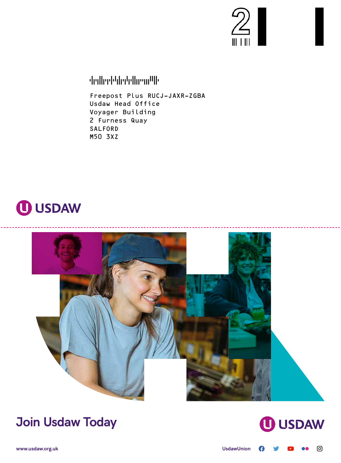

TFDTDFFDTDTFTADFDTDADTFFDDTTDDDAAFFT

Freepost Plus RUCJ–JAXR–ZGBA Usdaw Head Office Voyager Building 2 Furness Quay SALFORD M50 3XZ





### **Join Usdaw Today**